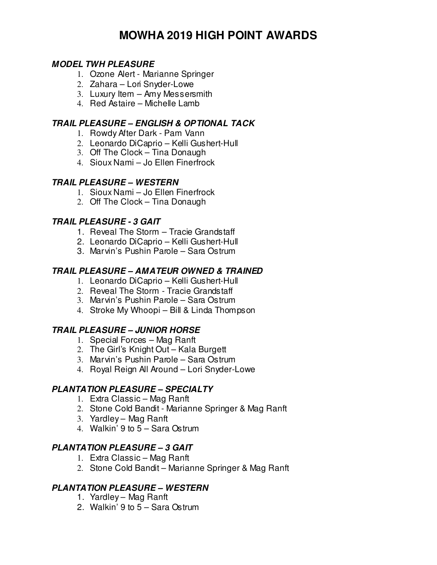# **MOWHA 2019 HIGH POINT AWARDS**

#### **MODEL TWH PLEASURE**

- 1. Ozone Alert Marianne Springer
- 2. Zahara Lori Snyder-Lowe
- 3. Luxury Item Amy Messersmith
- 4. Red Astaire Michelle Lamb

#### **TRAIL PLEASURE – ENGLISH & OPTIONAL TACK**

- 1. Rowdy After Dark Pam Vann
- 2. Leonardo DiCaprio Kelli Gushert-Hull
- 3. Off The Clock Tina Donaugh
- 4. Sioux Nami Jo Ellen Finerfrock

#### **TRAIL PLEASURE – WESTERN**

- 1. Sioux Nami Jo Ellen Finerfrock
- 2. Off The Clock Tina Donaugh

### **TRAIL PLEASURE - 3 GAIT**

- 1. Reveal The Storm Tracie Grandstaff
- 2. Leonardo DiCaprio Kelli Gushert-Hull
- 3. Marvin's Pushin Parole Sara Ostrum

### **TRAIL PLEASURE – AMATEUR OWNED & TRAINED**

- 1. Leonardo DiCaprio Kelli Gushert-Hull
- 2. Reveal The Storm Tracie Grandstaff
- 3. Marvin's Pushin Parole Sara Ostrum
- 4. Stroke My Whoopi Bill & Linda Thompson

# **TRAIL PLEASURE – JUNIOR HORSE**

- 1. Special Forces Mag Ranft
- 2. The Girl's Knight Out Kala Burgett
- 3. Marvin's Pushin Parole Sara Ostrum
- 4. Royal Reign All Around Lori Snyder-Lowe

#### **PLANTATION PLEASURE – SPECIALTY**

- 1. Extra Classic Mag Ranft
- 2. Stone Cold Bandit Marianne Springer & Mag Ranft
- 3. Yardley Mag Ranft
- 4. Walkin' 9 to 5 Sara Ostrum

#### **PLANTATION PLEASURE – 3 GAIT**

- 1. Extra Classic Mag Ranft
- 2. Stone Cold Bandit Marianne Springer & Mag Ranft

#### **PLANTATION PLEASURE – WESTERN**

- 1. Yardley Mag Ranft
- 2. Walkin' 9 to 5 Sara Ostrum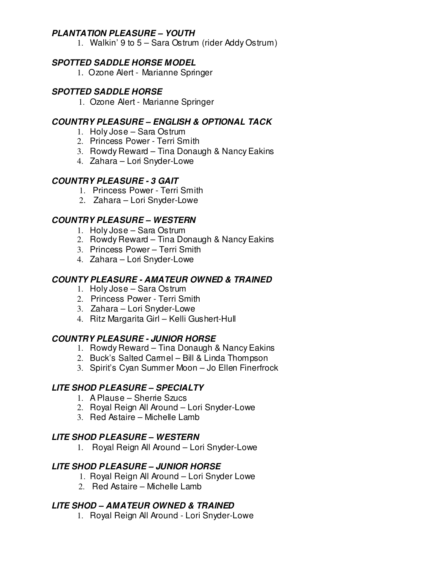#### **PLANTATION PLEASURE – YOUTH**

1. Walkin' 9 to 5 – Sara Ostrum (rider Addy Ostrum)

#### **SPOTTED SADDLE HORSE MODEL**

1. Ozone Alert - Marianne Springer

#### **SPOTTED SADDLE HORSE**

1. Ozone Alert - Marianne Springer

#### **COUNTRY PLEASURE – ENGLISH & OPTIONAL TACK**

- 1. Holy Jose Sara Ostrum
- 2. Princess Power Terri Smith
- 3. Rowdy Reward Tina Donaugh & Nancy Eakins
- 4. Zahara Lori Snyder-Lowe

#### **COUNTRY PLEASURE - 3 GAIT**

- 1. Princess Power Terri Smith
- 2. Zahara Lori Snyder-Lowe

#### **COUNTRY PLEASURE – WESTERN**

- 1. Holy Jose Sara Ostrum
- 2. Rowdy Reward Tina Donaugh & Nancy Eakins
- 3. Princess Power Terri Smith
- 4. Zahara Lori Snyder-Lowe

#### **COUNTY PLEASURE - AMATEUR OWNED & TRAINED**

- 1. Holy Jose Sara Ostrum
- 2. Princess Power Terri Smith
- 3. Zahara Lori Snyder-Lowe
- 4. Ritz Margarita Girl Kelli Gushert-Hull

#### **COUNTRY PLEASURE - JUNIOR HORSE**

- 1. Rowdy Reward Tina Donaugh & Nancy Eakins
- 2. Buck's Salted Carmel Bill & Linda Thompson
- 3. Spirit's Cyan Summer Moon Jo Ellen Finerfrock

#### **LITE SHOD PLEASURE – SPECIALTY**

- 1. A Plause Sherrie Szucs
- 2. Royal Reign All Around Lori Snyder-Lowe
- 3. Red Astaire Michelle Lamb

#### **LITE SHOD PLEASURE – WESTERN**

1. Royal Reign All Around – Lori Snyder-Lowe

#### **LITE SHOD PLEASURE – JUNIOR HORSE**

- 1. Royal Reign All Around Lori Snyder Lowe
- 2. Red Astaire Michelle Lamb

#### **LITE SHOD – AMATEUR OWNED & TRAINED**

1. Royal Reign All Around - Lori Snyder-Lowe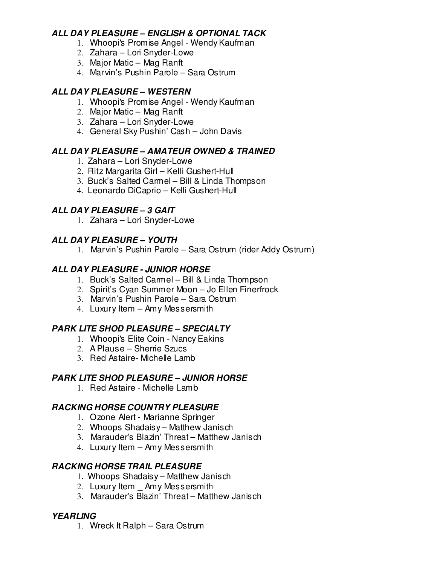### **ALL DAY PLEASURE – ENGLISH & OPTIONAL TACK**

- 1. Whoopi's Promise Angel Wendy Kaufman
- 2. Zahara Lori Snyder-Lowe
- 3. Major Matic Mag Ranft
- 4. Marvin's Pushin Parole Sara Ostrum

# **ALL DAY PLEASURE – WESTERN**

- 1. Whoopi's Promise Angel Wendy Kaufman
- 2. Major Matic Mag Ranft
- 3. Zahara Lori Snyder-Lowe
- 4. General Sky Pushin' Cash John Davis

# **ALL DAY PLEASURE – AMATEUR OWNED & TRAINED**

- 1. Zahara Lori Snyder-Lowe
- 2. Ritz Margarita Girl Kelli Gushert-Hull
- 3. Buck's Salted Carmel Bill & Linda Thompson
- 4. Leonardo DiCaprio Kelli Gushert-Hull

# **ALL DAY PLEASURE – 3 GAIT**

1. Zahara – Lori Snyder-Lowe

# **ALL DAY PLEASURE – YOUTH**

1. Marvin's Pushin Parole – Sara Ostrum (rider Addy Ostrum)

# **ALL DAY PLEASURE - JUNIOR HORSE**

- 1. Buck's Salted Carmel Bill & Linda Thompson
- 2. Spirit's Cyan Summer Moon Jo Ellen Finerfrock
- 3. Marvin's Pushin Parole Sara Ostrum
- 4. Luxury Item Amy Messersmith

# **PARK LITE SHOD PLEASURE – SPECIALTY**

- 1. Whoopi's Elite Coin Nancy Eakins
- 2. A Plause Sherrie Szucs
- 3. Red Astaire- Michelle Lamb

# **PARK LITE SHOD PLEASURE – JUNIOR HORSE**

1. Red Astaire - Michelle Lamb

# **RACKING HORSE COUNTRY PLEASURE**

- 1. Ozone Alert Marianne Springer
- 2. Whoops Shadaisy Matthew Janisch
- 3. Marauder's Blazin' Threat Matthew Janisch
- 4. Luxury Item Amy Messersmith

# **RACKING HORSE TRAIL PLEASURE**

- 1. Whoops Shadaisy Matthew Janisch
- 2. Luxury Item Amy Messersmith
- 3. Marauder's Blazin' Threat Matthew Janisch

# **YEARLING**

1. Wreck It Ralph – Sara Ostrum